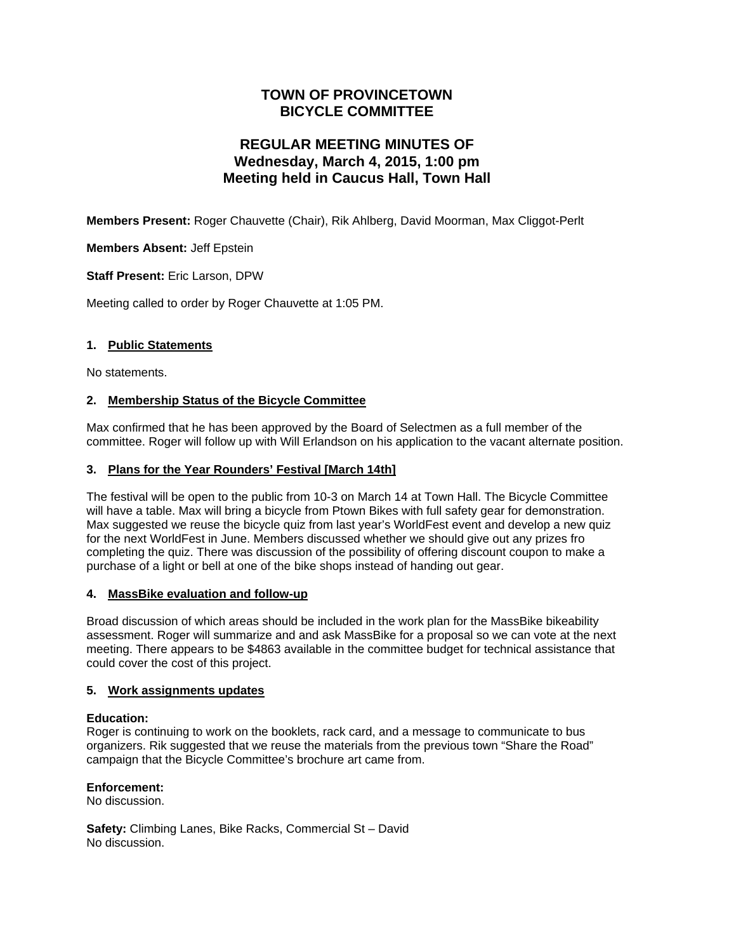## **TOWN OF PROVINCETOWN BICYCLE COMMITTEE**

# **REGULAR MEETING MINUTES OF Wednesday, March 4, 2015, 1:00 pm Meeting held in Caucus Hall, Town Hall**

**Members Present:** Roger Chauvette (Chair), Rik Ahlberg, David Moorman, Max Cliggot-Perlt

**Members Absent:** Jeff Epstein

**Staff Present:** Eric Larson, DPW

Meeting called to order by Roger Chauvette at 1:05 PM.

## **1. Public Statements**

No statements.

## **2. Membership Status of the Bicycle Committee**

Max confirmed that he has been approved by the Board of Selectmen as a full member of the committee. Roger will follow up with Will Erlandson on his application to the vacant alternate position.

## **3. Plans for the Year Rounders' Festival [March 14th]**

The festival will be open to the public from 10-3 on March 14 at Town Hall. The Bicycle Committee will have a table. Max will bring a bicycle from Ptown Bikes with full safety gear for demonstration. Max suggested we reuse the bicycle quiz from last year's WorldFest event and develop a new quiz for the next WorldFest in June. Members discussed whether we should give out any prizes fro completing the quiz. There was discussion of the possibility of offering discount coupon to make a purchase of a light or bell at one of the bike shops instead of handing out gear.

## **4. MassBike evaluation and follow-up**

Broad discussion of which areas should be included in the work plan for the MassBike bikeability assessment. Roger will summarize and and ask MassBike for a proposal so we can vote at the next meeting. There appears to be \$4863 available in the committee budget for technical assistance that could cover the cost of this project.

## **5. Work assignments updates**

## **Education:**

Roger is continuing to work on the booklets, rack card, and a message to communicate to bus organizers. Rik suggested that we reuse the materials from the previous town "Share the Road" campaign that the Bicycle Committee's brochure art came from.

## **Enforcement:**

No discussion.

**Safety:** Climbing Lanes, Bike Racks, Commercial St – David No discussion.